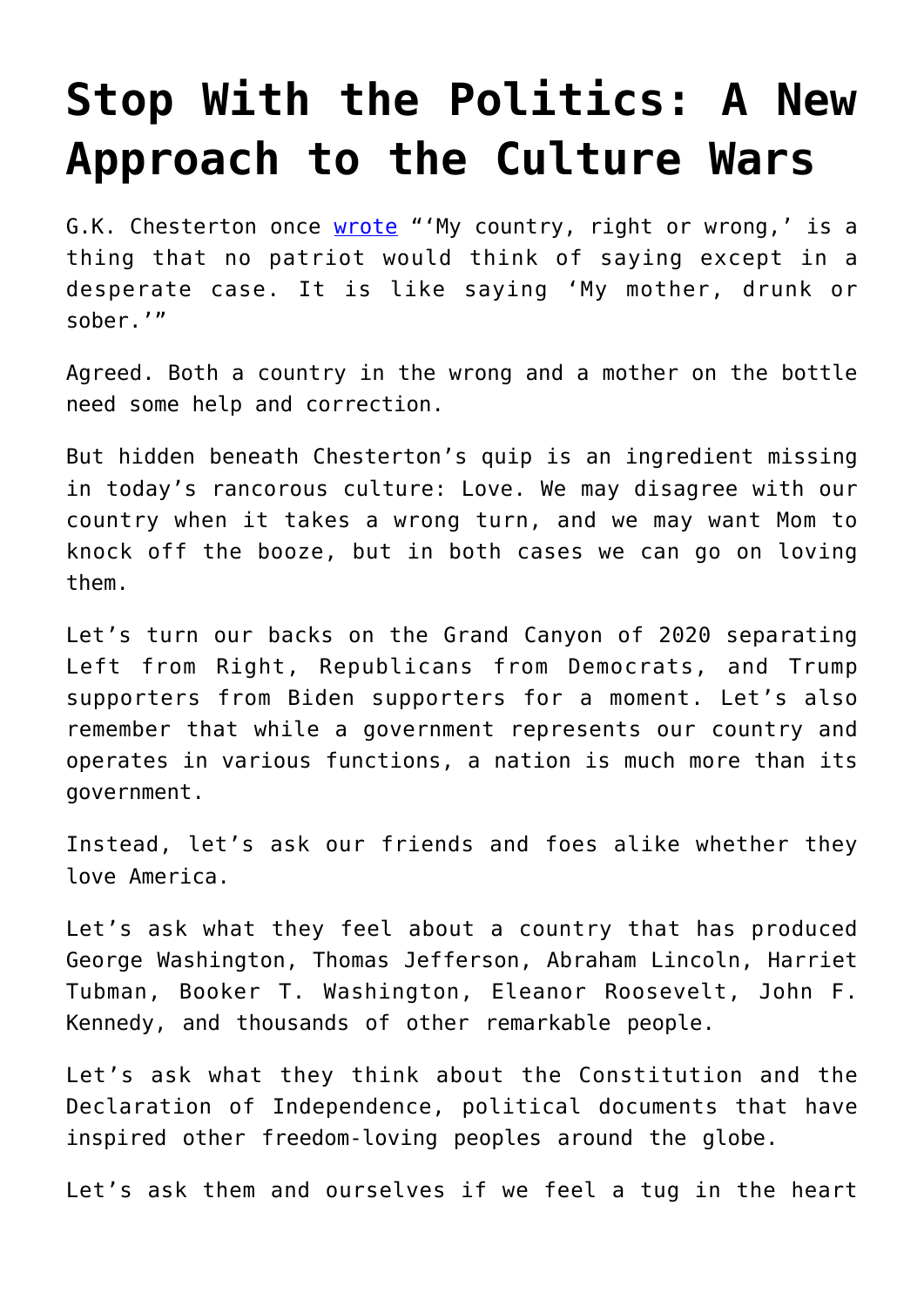## **[Stop With the Politics: A New](https://intellectualtakeout.org/2020/10/stop-with-the-politics-a-new-approach-to-the-culture-wars/) [Approach to the Culture Wars](https://intellectualtakeout.org/2020/10/stop-with-the-politics-a-new-approach-to-the-culture-wars/)**

G.K. Chesterton once [wrote](http://www.gutenberg.org/files/12245/12245-h/12245-h.htm) "'My country, right or wrong,' is a thing that no patriot would think of saying except in a desperate case. It is like saying 'My mother, drunk or sober.'"

Agreed. Both a country in the wrong and a mother on the bottle need some help and correction.

But hidden beneath Chesterton's quip is an ingredient missing in today's rancorous culture: Love. We may disagree with our country when it takes a wrong turn, and we may want Mom to knock off the booze, but in both cases we can go on loving them.

Let's turn our backs on the Grand Canyon of 2020 separating Left from Right, Republicans from Democrats, and Trump supporters from Biden supporters for a moment. Let's also remember that while a government represents our country and operates in various functions, a nation is much more than its government.

Instead, let's ask our friends and foes alike whether they love America.

Let's ask what they feel about a country that has produced George Washington, Thomas Jefferson, Abraham Lincoln, Harriet Tubman, Booker T. Washington, Eleanor Roosevelt, John F. Kennedy, and thousands of other remarkable people.

Let's ask what they think about the Constitution and the Declaration of Independence, political documents that have inspired other freedom-loving peoples around the globe.

Let's ask them and ourselves if we feel a tug in the heart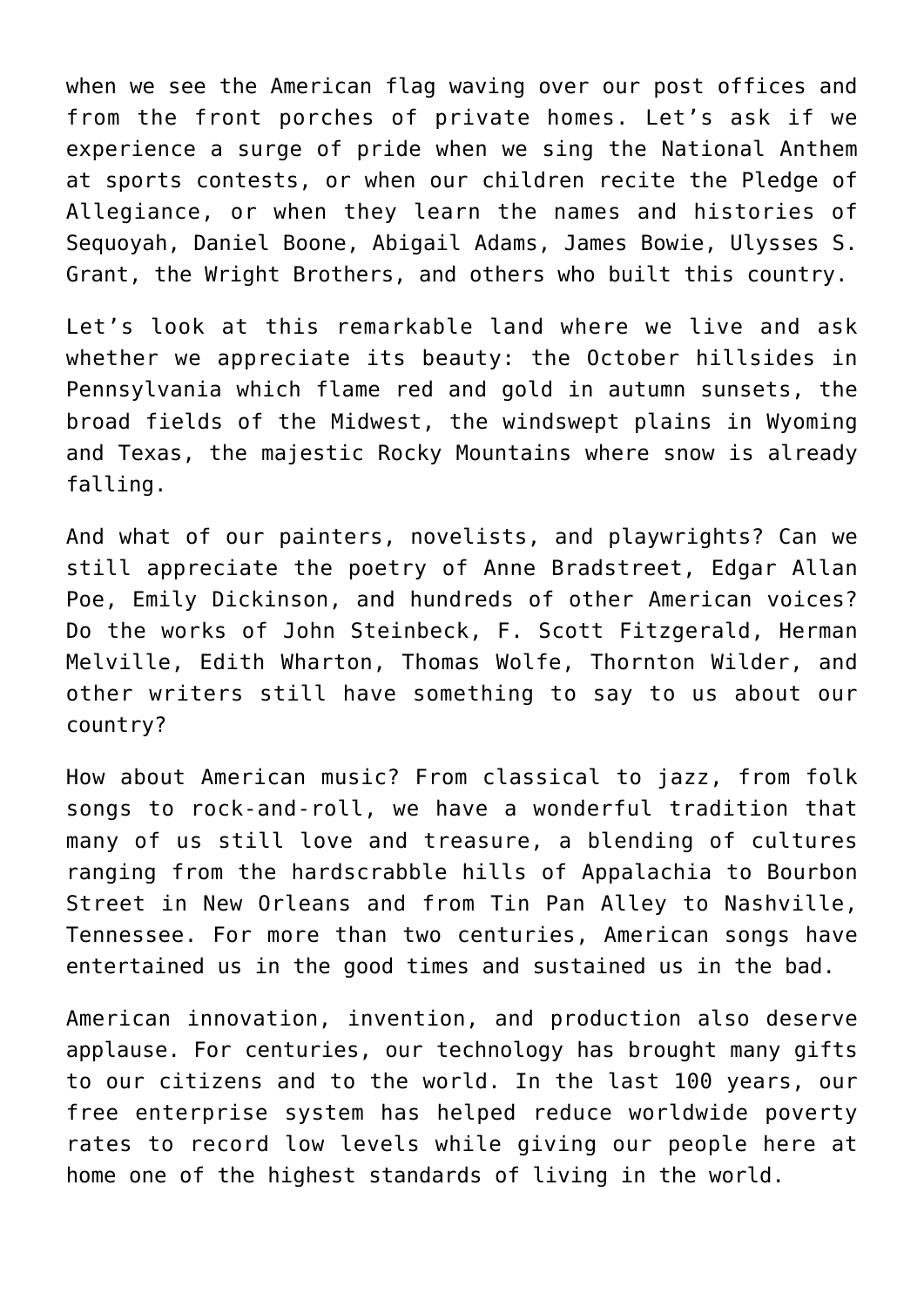when we see the American flag waving over our post offices and from the front porches of private homes. Let's ask if we experience a surge of pride when we sing the National Anthem at sports contests, or when our children recite the Pledge of Allegiance, or when they learn the names and histories of Sequoyah, Daniel Boone, Abigail Adams, James Bowie, Ulysses S. Grant, the Wright Brothers, and others who built this country.

Let's look at this remarkable land where we live and ask whether we appreciate its beauty: the October hillsides in Pennsylvania which flame red and gold in autumn sunsets, the broad fields of the Midwest, the windswept plains in Wyoming and Texas, the majestic Rocky Mountains where snow is already falling.

And what of our painters, novelists, and playwrights? Can we still appreciate the poetry of Anne Bradstreet, Edgar Allan Poe, Emily Dickinson, and hundreds of other American voices? Do the works of John Steinbeck, F. Scott Fitzgerald, Herman Melville, Edith Wharton, Thomas Wolfe, Thornton Wilder, and other writers still have something to say to us about our country?

How about American music? From classical to jazz, from folk songs to rock-and-roll, we have a wonderful tradition that many of us still love and treasure, a blending of cultures ranging from the hardscrabble hills of Appalachia to Bourbon Street in New Orleans and from Tin Pan Alley to Nashville, Tennessee. For more than two centuries, American songs have entertained us in the good times and sustained us in the bad.

American innovation, invention, and production also deserve applause. For centuries, our technology has brought many gifts to our citizens and to the world. In the last 100 years, our free enterprise system has helped reduce worldwide poverty rates to record low levels while giving our people here at home one of the highest standards of living in the world.